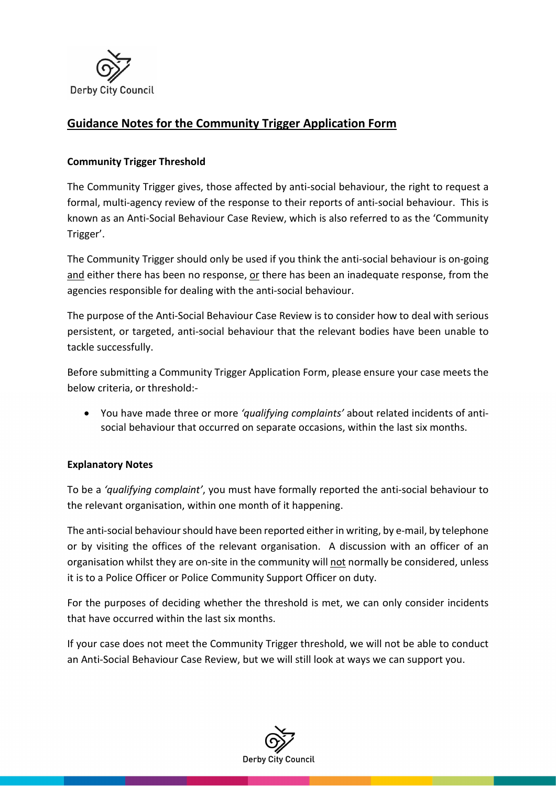

# **Guidance Notes for the Community Trigger Application Form**

#### **Community Trigger Threshold**

The Community Trigger gives, those affected by anti-social behaviour, the right to request a formal, multi-agency review of the response to their reports of anti-social behaviour. This is known as an Anti-Social Behaviour Case Review, which is also referred to as the 'Community Trigger'.

The Community Trigger should only be used if you think the anti-social behaviour is on-going and either there has been no response, or there has been an inadequate response, from the agencies responsible for dealing with the anti-social behaviour.

The purpose of the Anti-Social Behaviour Case Review is to consider how to deal with serious persistent, or targeted, anti-social behaviour that the relevant bodies have been unable to tackle successfully.

Before submitting a Community Trigger Application Form, please ensure your case meets the below criteria, or threshold:-

• You have made three or more *'qualifying complaints'* about related incidents of antisocial behaviour that occurred on separate occasions, within the last six months.

#### **Explanatory Notes**

To be a *'qualifying complaint'*, you must have formally reported the anti-social behaviour to the relevant organisation, within one month of it happening.

The anti-social behaviour should have been reported either in writing, by e-mail, by telephone or by visiting the offices of the relevant organisation. A discussion with an officer of an organisation whilst they are on-site in the community will not normally be considered, unless it is to a Police Officer or Police Community Support Officer on duty.

For the purposes of deciding whether the threshold is met, we can only consider incidents that have occurred within the last six months.

If your case does not meet the Community Trigger threshold, we will not be able to conduct an Anti-Social Behaviour Case Review, but we will still look at ways we can support you.

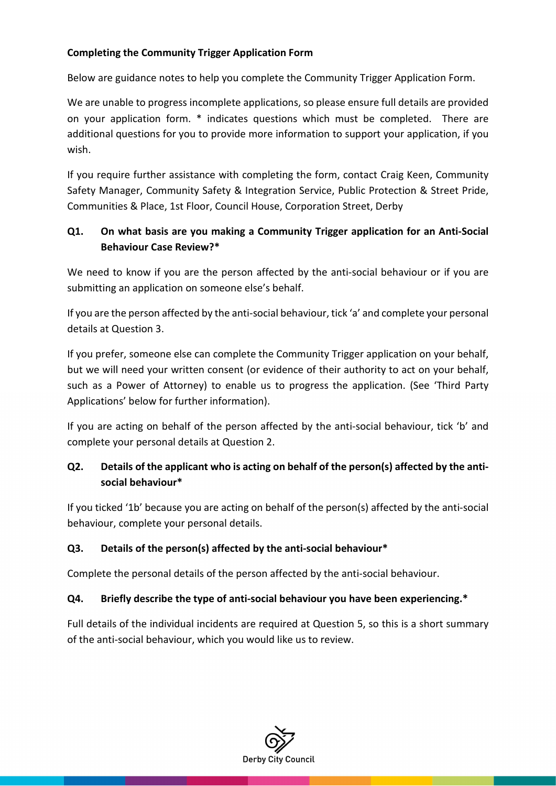### **Completing the Community Trigger Application Form**

Below are guidance notes to help you complete the Community Trigger Application Form.

We are unable to progress incomplete applications, so please ensure full details are provided on your application form. \* indicates questions which must be completed. There are additional questions for you to provide more information to support your application, if you wish.

If you require further assistance with completing the form, contact Craig Keen, Community Safety Manager, Community Safety & Integration Service, Public Protection & Street Pride, Communities & Place, 1st Floor, Council House, Corporation Street, Derby

## **Q1. On what basis are you making a Community Trigger application for an Anti-Social Behaviour Case Review?\***

We need to know if you are the person affected by the anti-social behaviour or if you are submitting an application on someone else's behalf.

If you are the person affected by the anti-social behaviour, tick 'a' and complete your personal details at Question 3.

If you prefer, someone else can complete the Community Trigger application on your behalf, but we will need your written consent (or evidence of their authority to act on your behalf, such as a Power of Attorney) to enable us to progress the application. (See 'Third Party Applications' below for further information).

If you are acting on behalf of the person affected by the anti-social behaviour, tick 'b' and complete your personal details at Question 2.

# **Q2. Details of the applicant who is acting on behalf of the person(s) affected by the antisocial behaviour\***

If you ticked '1b' because you are acting on behalf of the person(s) affected by the anti-social behaviour, complete your personal details.

## **Q3. Details of the person(s) affected by the anti-social behaviour\***

Complete the personal details of the person affected by the anti-social behaviour.

## **Q4. Briefly describe the type of anti-social behaviour you have been experiencing.\***

Full details of the individual incidents are required at Question 5, so this is a short summary of the anti-social behaviour, which you would like us to review.

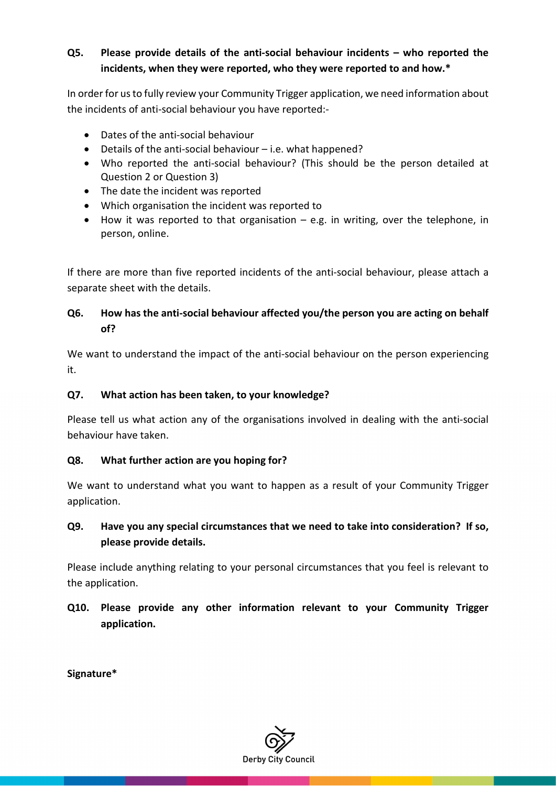## **Q5. Please provide details of the anti-social behaviour incidents – who reported the incidents, when they were reported, who they were reported to and how.\***

In order for us to fully review your Community Trigger application, we need information about the incidents of anti-social behaviour you have reported:-

- Dates of the anti-social behaviour
- Details of the anti-social behaviour i.e. what happened?
- Who reported the anti-social behaviour? (This should be the person detailed at Question 2 or Question 3)
- The date the incident was reported
- Which organisation the incident was reported to
- How it was reported to that organisation  $-$  e.g. in writing, over the telephone, in person, online.

If there are more than five reported incidents of the anti-social behaviour, please attach a separate sheet with the details.

## **Q6. How has the anti-social behaviour affected you/the person you are acting on behalf of?**

We want to understand the impact of the anti-social behaviour on the person experiencing it.

#### **Q7. What action has been taken, to your knowledge?**

Please tell us what action any of the organisations involved in dealing with the anti-social behaviour have taken.

#### **Q8. What further action are you hoping for?**

We want to understand what you want to happen as a result of your Community Trigger application.

## **Q9. Have you any special circumstances that we need to take into consideration? If so, please provide details.**

Please include anything relating to your personal circumstances that you feel is relevant to the application.

**Q10. Please provide any other information relevant to your Community Trigger application.**

**Signature\***

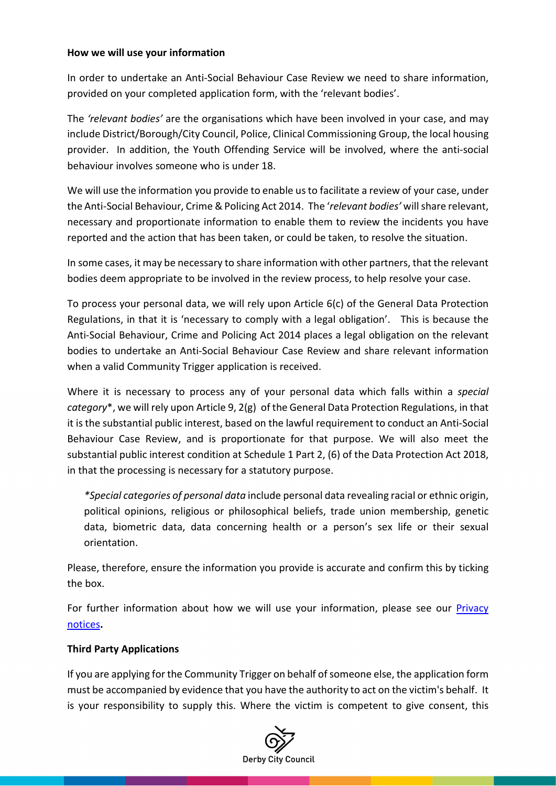#### **How we will use your information**

In order to undertake an Anti-Social Behaviour Case Review we need to share information, provided on your completed application form, with the 'relevant bodies'.

The *'relevant bodies'* are the organisations which have been involved in your case, and may include District/Borough/City Council, Police, Clinical Commissioning Group, the local housing provider. In addition, the Youth Offending Service will be involved, where the anti-social behaviour involves someone who is under 18.

We will use the information you provide to enable us to facilitate a review of your case, under the Anti-Social Behaviour, Crime & Policing Act 2014. The '*relevant bodies'* will share relevant, necessary and proportionate information to enable them to review the incidents you have reported and the action that has been taken, or could be taken, to resolve the situation.

In some cases, it may be necessary to share information with other partners, that the relevant bodies deem appropriate to be involved in the review process, to help resolve your case.

To process your personal data, we will rely upon Article 6(c) of the General Data Protection Regulations, in that it is 'necessary to comply with a legal obligation'. This is because the Anti-Social Behaviour, Crime and Policing Act 2014 places a legal obligation on the relevant bodies to undertake an Anti-Social Behaviour Case Review and share relevant information when a valid Community Trigger application is received.

Where it is necessary to process any of your personal data which falls within a *special category*\*, we will rely upon Article 9, 2(g) of the General Data Protection Regulations, in that it is the substantial public interest, based on the lawful requirement to conduct an Anti-Social Behaviour Case Review, and is proportionate for that purpose. We will also meet the substantial public interest condition at Schedule 1 Part 2, (6) of the Data Protection Act 2018, in that the processing is necessary for a statutory purpose.

*\*Special categories of personal data* include personal data revealing racial or ethnic origin, political opinions, religious or philosophical beliefs, trade union membership, genetic data, biometric data, data concerning health or a person's sex life or their sexual orientation.

Please, therefore, ensure the information you provide is accurate and confirm this by ticking the box.

For further information about how we will use your information, please see our [Privacy](https://www.derby.gov.uk/site-info/privacy-notices/)  [notices](https://www.derby.gov.uk/site-info/privacy-notices/)**.**

#### **Third Party Applications**

If you are applying for the Community Trigger on behalf of someone else, the application form must be accompanied by evidence that you have the authority to act on the victim's behalf. It is your responsibility to supply this. Where the victim is competent to give consent, this

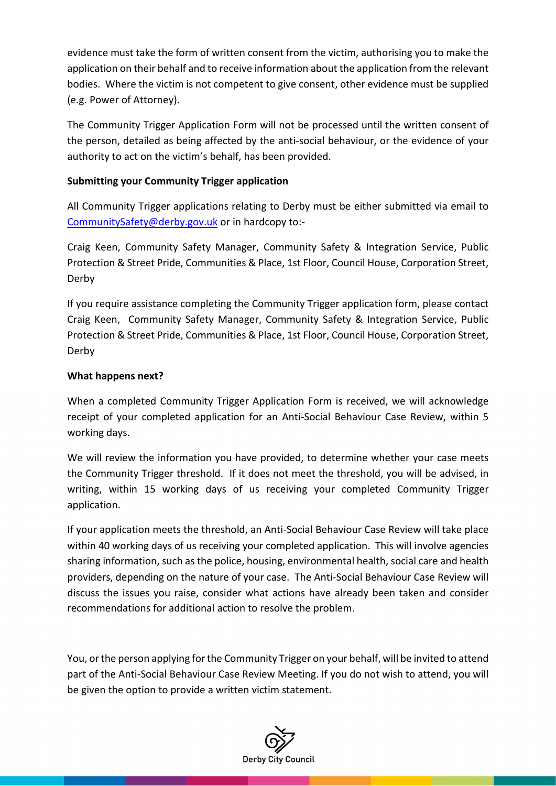evidence must take the form of written consent from the victim, authorising you to make the application on their behalf and to receive information about the application from the relevant bodies. Where the victim is not competent to give consent, other evidence must be supplied (e.g. Power of Attorney).

The Community Trigger Application Form will not be processed until the written consent of the person, detailed as being affected by the anti-social behaviour, or the evidence of your authority to act on the victim's behalf, has been provided.

### **Submitting your Community Trigger application**

All Community Trigger applications relating to Derby must be either submitted via email to [CommunitySafety@derby.gov.uk](mailto:CommunitySafety@derby.gov.uk) or in hardcopy to:-

Craig Keen, Community Safety Manager, Community Safety & Integration Service, Public Protection & Street Pride, Communities & Place, 1st Floor, Council House, Corporation Street, Derby

If you require assistance completing the Community Trigger application form, please contact Craig Keen, Community Safety Manager, Community Safety & Integration Service, Public Protection & Street Pride, Communities & Place, 1st Floor, Council House, Corporation Street, Derby

### **What happens next?**

When a completed Community Trigger Application Form is received, we will acknowledge receipt of your completed application for an Anti-Social Behaviour Case Review, within 5 working days.

We will review the information you have provided, to determine whether your case meets the Community Trigger threshold. If it does not meet the threshold, you will be advised, in writing, within 15 working days of us receiving your completed Community Trigger application.

If your application meets the threshold, an Anti-Social Behaviour Case Review will take place within 40 working days of us receiving your completed application. This will involve agencies sharing information, such as the police, housing, environmental health, social care and health providers, depending on the nature of your case. The Anti-Social Behaviour Case Review will discuss the issues you raise, consider what actions have already been taken and consider recommendations for additional action to resolve the problem.

You, or the person applying for the Community Trigger on your behalf, will be invited to attend part of the Anti-Social Behaviour Case Review Meeting. If you do not wish to attend, you will be given the option to provide a written victim statement.